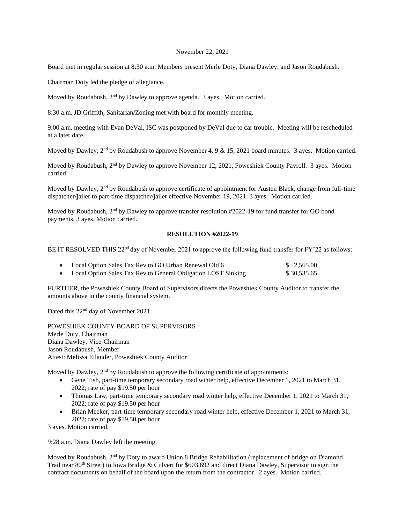## November 22, 2021

Board met in regular session at 8:30 a.m. Members present Merle Doty, Diana Dawley, and Jason Roudabush.

Chairman Doty led the pledge of allegiance.

Moved by Roudabush, 2<sup>nd</sup> by Dawley to approve agenda. 3 ayes. Motion carried.

8:30 a.m. JD Griffith, Sanitarian/Zoning met with board for monthly meeting.

9:00 a.m. meeting with Evan DeVal, ISC was postponed by DeVal due to car trouble. Meeting will be rescheduled at a later date.

Moved by Dawley,  $2<sup>nd</sup>$  by Roudabush to approve November 4, 9 & 15, 2021 board minutes. 3 ayes. Motion carried.

Moved by Roudabush, 2nd by Dawley to approve November 12, 2021, Poweshiek County Payroll. 3 ayes. Motion carried.

Moved by Dawley, 2<sup>nd</sup> by Roudabush to approve certificate of appointment for Austen Black, change from full-time dispatcher/jailer to part-time dispatcher/jailer effective November 19, 2021. 3 ayes. Motion carried.

Moved by Roudabush, 2<sup>nd</sup> by Dawley to approve transfer resolution #2022-19 for fund transfer for GO bond payments. 3 ayes. Motion carried.

## **RESOLUTION #2022-19**

BE IT RESOLVED THIS 22<sup>nd</sup> day of November 2021 to approve the following fund transfer for FY'22 as follows:

| Local Option Sales Tax Rev to GO Urban Renewal Old 6          | \$ 2,565.00 |
|---------------------------------------------------------------|-------------|
| Local Option Sales Tax Rev to General Obligation LOST Sinking | \$30,535.65 |

FURTHER, the Poweshiek County Board of Supervisors directs the Poweshiek County Auditor to transfer the amounts above in the county financial system.

Dated this 22<sup>nd</sup> day of November 2021.

POWESHIEK COUNTY BOARD OF SUPERVISORS Merle Doty, Chairman Diana Dawley, Vice-Chairman Jason Roudabush, Member Attest: Melissa Eilander, Poweshiek County Auditor

Moved by Dawley,  $2<sup>nd</sup>$  by Roudabush to approve the following certificate of appointments:

- Gene Tish, part-time temporary secondary road winter help, effective December 1, 2021 to March 31, 2022; rate of pay \$19.50 per hour
- Thomas Law, part-time temporary secondary road winter help, effective December 1, 2021 to March 31, 2022; rate of pay \$19.50 per hour
- Brian Meeker, part-time temporary secondary road winter help, effective December 1, 2021 to March 31, 2022; rate of pay \$19.50 per hour

3 ayes. Motion carried.

9:28 a.m. Diana Dawley left the meeting.

Moved by Roudabush, 2<sup>nd</sup> by Doty to award Union 8 Bridge Rehabilitation (replacement of bridge on Diamond Trail near 80th Street) to Iowa Bridge & Culvert for \$603,692 and direct Diana Dawley, Supervisor to sign the contract documents on behalf of the board upon the return from the contractor. 2 ayes. Motion carried.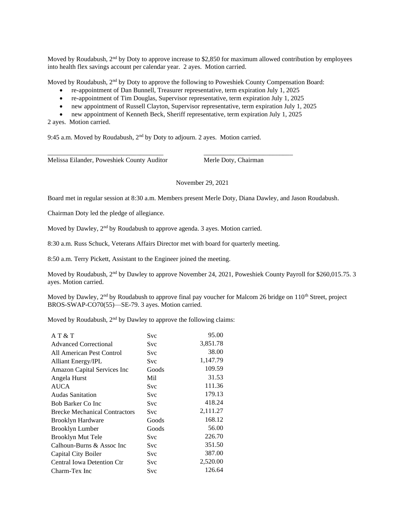Moved by Roudabush,  $2<sup>nd</sup>$  by Doty to approve increase to \$2,850 for maximum allowed contribution by employees into health flex savings account per calendar year. 2 ayes. Motion carried.

Moved by Roudabush,  $2<sup>nd</sup>$  by Doty to approve the following to Poweshiek County Compensation Board:

- re-appointment of Dan Bunnell, Treasurer representative, term expiration July 1, 2025
- re-appointment of Tim Douglas, Supervisor representative, term expiration July 1, 2025
- new appointment of Russell Clayton, Supervisor representative, term expiration July 1, 2025
- new appointment of Kenneth Beck, Sheriff representative, term expiration July 1, 2025

\_\_\_\_\_\_\_\_\_\_\_\_\_\_\_\_\_\_\_\_\_\_\_\_\_\_\_\_\_\_\_\_\_\_\_ \_\_\_\_\_\_\_\_\_\_\_\_\_\_\_\_\_\_\_\_\_\_\_\_\_\_\_

2 ayes. Motion carried.

9:45 a.m. Moved by Roudabush, 2nd by Doty to adjourn. 2 ayes. Motion carried.

Melissa Eilander, Poweshiek County Auditor Merle Doty, Chairman

## November 29, 2021

Board met in regular session at 8:30 a.m. Members present Merle Doty, Diana Dawley, and Jason Roudabush.

Chairman Doty led the pledge of allegiance.

Moved by Dawley, 2<sup>nd</sup> by Roudabush to approve agenda. 3 ayes. Motion carried.

8:30 a.m. Russ Schuck, Veterans Affairs Director met with board for quarterly meeting.

8:50 a.m. Terry Pickett, Assistant to the Engineer joined the meeting.

Moved by Roudabush, 2<sup>nd</sup> by Dawley to approve November 24, 2021, Poweshiek County Payroll for \$260,015.75. 3 ayes. Motion carried.

Moved by Dawley, 2<sup>nd</sup> by Roudabush to approve final pay voucher for Malcom 26 bridge on 110<sup>th</sup> Street, project BROS-SWAP-CO70(55)—SE-79. 3 ayes. Motion carried.

Moved by Roudabush, 2<sup>nd</sup> by Dawley to approve the following claims:

| A T & T                              | Svc        | 95.00    |
|--------------------------------------|------------|----------|
| <b>Advanced Correctional</b>         | Svc        | 3,851.78 |
| All American Pest Control            | <b>Svc</b> | 38.00    |
| <b>Alliant Energy/IPL</b>            | Svc        | 1,147.79 |
| Amazon Capital Services Inc          | Goods      | 109.59   |
| Angela Hurst                         | Mil        | 31.53    |
| AUCA                                 | Svc        | 111.36   |
| <b>Audas Sanitation</b>              | Svc        | 179.13   |
| <b>Bob Barker Co Inc</b>             | Svc        | 418.24   |
| <b>Brecke Mechanical Contractors</b> | Svc        | 2,111.27 |
| <b>Brooklyn Hardware</b>             | Goods      | 168.12   |
| Brooklyn Lumber                      | Goods      | 56.00    |
| Brooklyn Mut Tele                    | Svc        | 226.70   |
| Calhoun-Burns & Assoc Inc            | Svc        | 351.50   |
| Capital City Boiler                  | Svc        | 387.00   |
| <b>Central Iowa Detention Ctr</b>    | Svc        | 2,520.00 |
| Charm-Tex Inc                        | Svc        | 126.64   |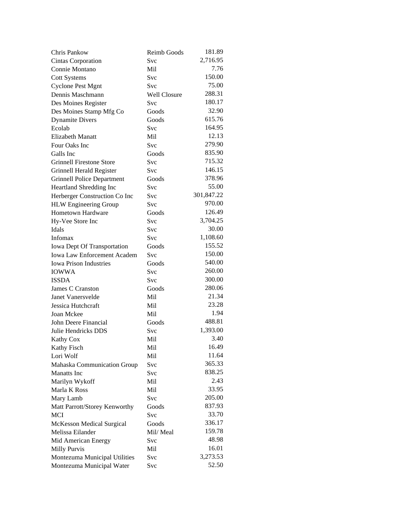| Chris Pankow                       | <b>Reimb Goods</b> | 181.89     |
|------------------------------------|--------------------|------------|
| Cintas Corporation                 | Svc                | 2,716.95   |
| Connie Montano                     | Mil                | 7.76       |
| <b>Cott Systems</b>                | Svc                | 150.00     |
| <b>Cyclone Pest Mgnt</b>           | Svc                | 75.00      |
| Dennis Maschmann                   | Well Closure       | 288.31     |
| Des Moines Register                | Svc                | 180.17     |
| Des Moines Stamp Mfg Co            | Goods              | 32.90      |
| <b>Dynamite Divers</b>             | Goods              | 615.76     |
| Ecolab                             | Svc                | 164.95     |
| <b>Elizabeth Manatt</b>            | Mil                | 12.13      |
| Four Oaks Inc                      | Svc                | 279.90     |
| Galls Inc                          | Goods              | 835.90     |
| <b>Grinnell Firestone Store</b>    | <b>Svc</b>         | 715.32     |
| Grinnell Herald Register           | <b>Svc</b>         | 146.15     |
| <b>Grinnell Police Department</b>  | Goods              | 378.96     |
| Heartland Shredding Inc            | Svc                | 55.00      |
| Herberger Construction Co Inc      | Svc                | 301,847.22 |
| <b>HLW</b> Engineering Group       | <b>Svc</b>         | 970.00     |
| <b>Hometown Hardware</b>           | Goods              | 126.49     |
| Hy-Vee Store Inc                   | Svc                | 3,704.25   |
| Idals                              | Svc                | 30.00      |
| Infomax                            | <b>Svc</b>         | 1,108.60   |
| Iowa Dept Of Transportation        | Goods              | 155.52     |
| <b>Iowa Law Enforcement Academ</b> | Svc                | 150.00     |
| <b>Iowa Prison Industries</b>      | Goods              | 540.00     |
| <b>IOWWA</b>                       | <b>Svc</b>         | 260.00     |
| <b>ISSDA</b>                       | Svc                | 300.00     |
| James C Cranston                   | Goods              | 280.06     |
| Janet Vanersvelde                  | Mil                | 21.34      |
| Jessica Hutchcraft                 | Mil                | 23.28      |
| Joan Mckee                         | Mil                | 1.94       |
| John Deere Financial               | Goods              | 488.81     |
| Julie Hendricks DDS                | Svc                | 1,393.00   |
|                                    | Mil                | 3.40       |
| <b>Kathy Cox</b>                   |                    | 16.49      |
| Kathy Fisch<br>Lori Wolf           | Mil                | 11.64      |
|                                    | Mil                | 365.33     |
| Mahaska Communication Group        | <b>Svc</b>         | 838.25     |
| <b>Manatts</b> Inc                 | <b>Svc</b>         |            |
| Marilyn Wykoff                     | Mil                | 2.43       |
| Marla K Ross                       | Mil                | 33.95      |
| Mary Lamb                          | <b>Svc</b>         | 205.00     |
| Matt Parrott/Storey Kenworthy      | Goods              | 837.93     |
| MCI                                | Svc                | 33.70      |
| <b>McKesson Medical Surgical</b>   | Goods              | 336.17     |
| Melissa Eilander                   | Mil/Meal           | 159.78     |
| Mid American Energy                | Svc                | 48.98      |
| Milly Purvis                       | Mil                | 16.01      |
| Montezuma Municipal Utilities      | Svc                | 3,273.53   |
| Montezuma Municipal Water          | Svc                | 52.50      |